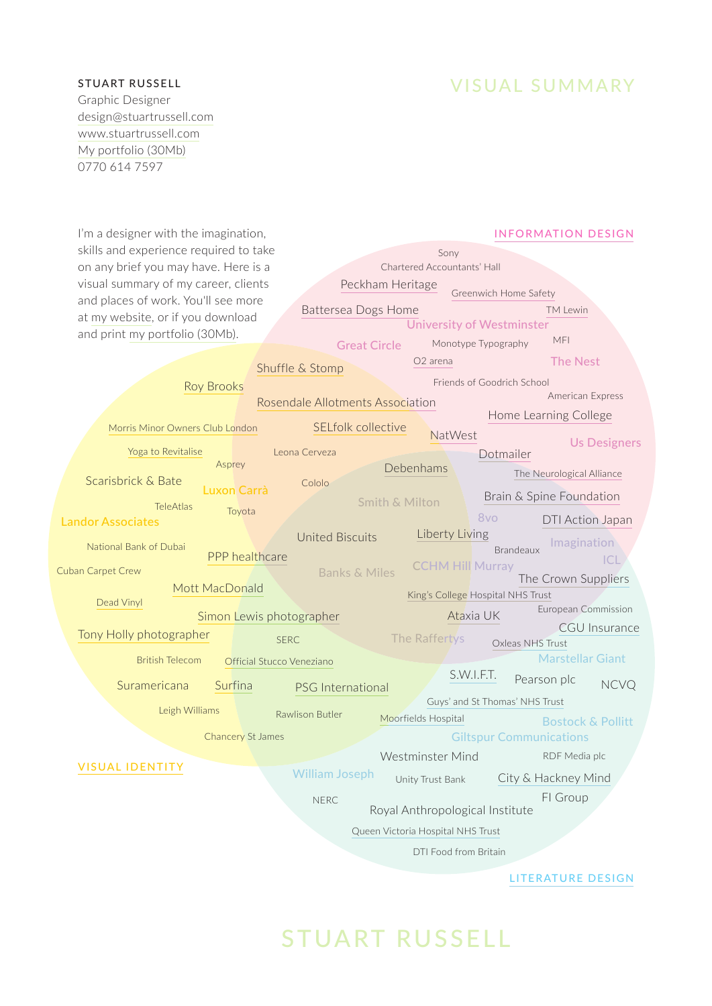## STUART RUSSELL

VISUAL SUMMARY

Graphic Designer [design@stuartrussell.com](mailto:design@stuartrussell.com) [www.stuartrussell.com](http://www.stuartrussell.com) [My portfolio \(30Mb\)](https://stuartrussell2.files.wordpress.com/2017/02/stuart_russell_300dpi_portfolio_2017-02-28.pdf) 0770 614 7597

| I'm a designer with the imagination,                | <b>INFORMATION DESIGN</b>        |                           |                         |                                   |                              |
|-----------------------------------------------------|----------------------------------|---------------------------|-------------------------|-----------------------------------|------------------------------|
| skills and experience required to take              | Sony                             |                           |                         |                                   |                              |
| on any brief you may have. Here is a                | Chartered Accountants' Hall      |                           |                         |                                   |                              |
| visual summary of my career, clients                |                                  | Peckham Heritage          |                         |                                   |                              |
| and places of work. You'll see more                 |                                  |                           |                         | Greenwich Home Safety             |                              |
| at my website, or if you download                   |                                  | Battersea Dogs Home       |                         | <b>University of Westminster</b>  | <b>TM Lewin</b>              |
| and print my portfolio (30Mb).                      |                                  |                           |                         | Monotype Typography               | MFI                          |
|                                                     |                                  | <b>Great Circle</b>       | O <sub>2</sub> arena    |                                   |                              |
|                                                     | Shuffle & Stomp                  |                           |                         |                                   | <b>The Nest</b>              |
| <b>Roy Brooks</b>                                   |                                  |                           |                         | Friends of Goodrich School        |                              |
|                                                     | Rosendale Allotments Association |                           |                         |                                   | American Express             |
| Morris Minor Owners Club London                     |                                  | SELfolk collective        |                         |                                   | Home Learning College        |
|                                                     |                                  |                           | NatWest                 |                                   | <b>Us Designers</b>          |
| Yoga to Revitalise                                  | Leona Cerveza                    |                           |                         | Dotmailer                         |                              |
| Asprey                                              |                                  | Debenhams                 |                         |                                   | The Neurological Alliance    |
| Scarisbrick & Bate<br><b>Luxon Carrà</b>            | Cololo                           |                           |                         |                                   | Brain & Spine Foundation     |
| <b>TeleAtlas</b><br>Toyota                          |                                  | <b>Smith &amp; Milton</b> |                         |                                   |                              |
| <b>Landor Associates</b>                            |                                  |                           |                         | 8vo                               | DTI Action Japan             |
| National Bank of Dubai                              | <b>United Biscuits</b>           |                           | Liberty Living          | <b>Brandeaux</b>                  | Imagination                  |
| PPP healthcare                                      |                                  |                           | <b>CCHM Hill Murray</b> |                                   | CL                           |
| Cuban Carpet Crew                                   |                                  | <b>Banks &amp; Miles</b>  |                         |                                   | The Crown Suppliers          |
| Mott MacDonald                                      |                                  |                           |                         | King's College Hospital NHS Trust |                              |
| Dead Vinyl<br>Simon Lewis photographer              |                                  |                           |                         | Ataxia UK                         | European Commission          |
| Tony Holly photographer                             |                                  |                           |                         |                                   | <b>CGU</b> Insurance         |
|                                                     | <b>SERC</b>                      |                           | The Raffertys           | Oxleas NHS Trust                  |                              |
| <b>British Telecom</b><br>Official Stucco Veneziano |                                  |                           |                         |                                   | <b>Marstellar Giant</b>      |
| Suramericana<br>Surfina                             | <b>PSG</b> International         |                           |                         | S.W.I.F.T.                        | Pearson plc<br><b>NCVQ</b>   |
|                                                     |                                  |                           |                         | Guys' and St Thomas' NHS Trust    |                              |
| Leigh Williams                                      | Rawlison Butler                  | Moorfields Hospital       |                         |                                   | <b>Bostock &amp; Pollitt</b> |
| <b>Chancery St James</b>                            |                                  |                           |                         | <b>Giltspur Communications</b>    |                              |
|                                                     |                                  |                           | Westminster Mind        |                                   | RDF Media plc                |
| <b>VISUAL IDENTITY</b>                              | <b>William Joseph</b>            |                           |                         |                                   |                              |
|                                                     |                                  |                           | Unity Trust Bank        |                                   | City & Hackney Mind          |
|                                                     | <b>NERC</b>                      |                           |                         |                                   | FI Group                     |
| Royal Anthropological Institute                     |                                  |                           |                         |                                   |                              |
| Queen Victoria Hospital NHS Trust                   |                                  |                           |                         |                                   |                              |
| DTI Food from Britain                               |                                  |                           |                         |                                   |                              |
|                                                     |                                  |                           |                         |                                   |                              |
|                                                     |                                  |                           |                         |                                   | LITERATURE DESIGN            |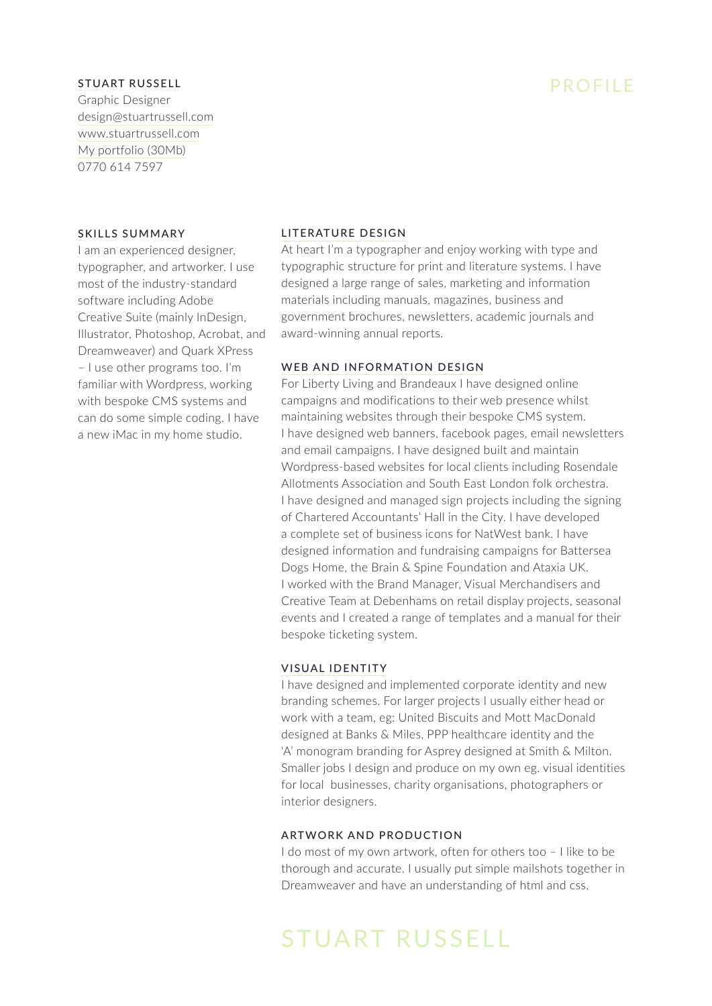# PROFILE

### STUART RUSSELL

Graphic Designer [design@stuartrussell.com](mailto:design@stuartrussell.com) [www.stuartrussell.com](http://www.stuartrussell.com) [My portfolio \(30Mb\)](https://stuartrussell2.files.wordpress.com/2017/02/stuart_russell_300dpi_portfolio_2017-02-28.pdf) 0770 614 7597

### SKILLS SUMMARY

I am an experienced designer, typographer, and artworker. I use most of the industry-standard software including Adobe Creative Suite (mainly InDesign, Illustrator, Photoshop, Acrobat, and Dreamweaver) and Quark XPress – I use other programs too. I'm familiar with Wordpress, working with bespoke CMS systems and can do some simple coding. I have a new iMac in my home studio.

## [LITERATURE DESIGN](https://stuartrussell2.wordpress.com/project-type/literature-design/)

At heart I'm a typographer and enjoy working with type and typographic structure for print and literature systems. I have designed a large range of sales, marketing and information materials including manuals, magazines, business and government brochures, newsletters, academic journals and award-winning annual reports.

### [WEB AND INFORMATION DESIGN](https://stuartrussell2.wordpress.com/project-type/information-design/)

For Liberty Living and Brandeaux I have designed online campaigns and modifications to their web presence whilst maintaining websites through their bespoke CMS system. I have designed web banners, facebook pages, email newsletters and email campaigns. I have designed built and maintain Wordpress-based websites for local clients including Rosendale Allotments Association and South East London folk orchestra. I have designed and managed sign projects including the signing of Chartered Accountants' Hall in the City. I have developed a complete set of business icons for NatWest bank. I have designed information and fundraising campaigns for Battersea Dogs Home, the Brain & Spine Foundation and Ataxia UK. I worked with the Brand Manager, Visual Merchandisers and Creative Team at Debenhams on retail display projects, seasonal events and I created a range of templates and a manual for their bespoke ticketing system.

### [VISUAL IDENTITY](https://stuartrussell2.wordpress.com/project-type/visual-identity/)

I have designed and implemented corporate identity and new branding schemes. For larger projects I usually either head or work with a team, eg: United Biscuits and Mott MacDonald designed at Banks & Miles, PPP healthcare identity and the 'A' monogram branding for Asprey designed at Smith & Milton. Smaller jobs I design and produce on my own eg. visual identities for local businesses, charity organisations, photographers or interior designers.

### ARTWORK AND PRODUCTION

I do most of my own artwork, often for others too – I like to be thorough and accurate. I usually put simple mailshots together in Dreamweaver and have an understanding of html and css.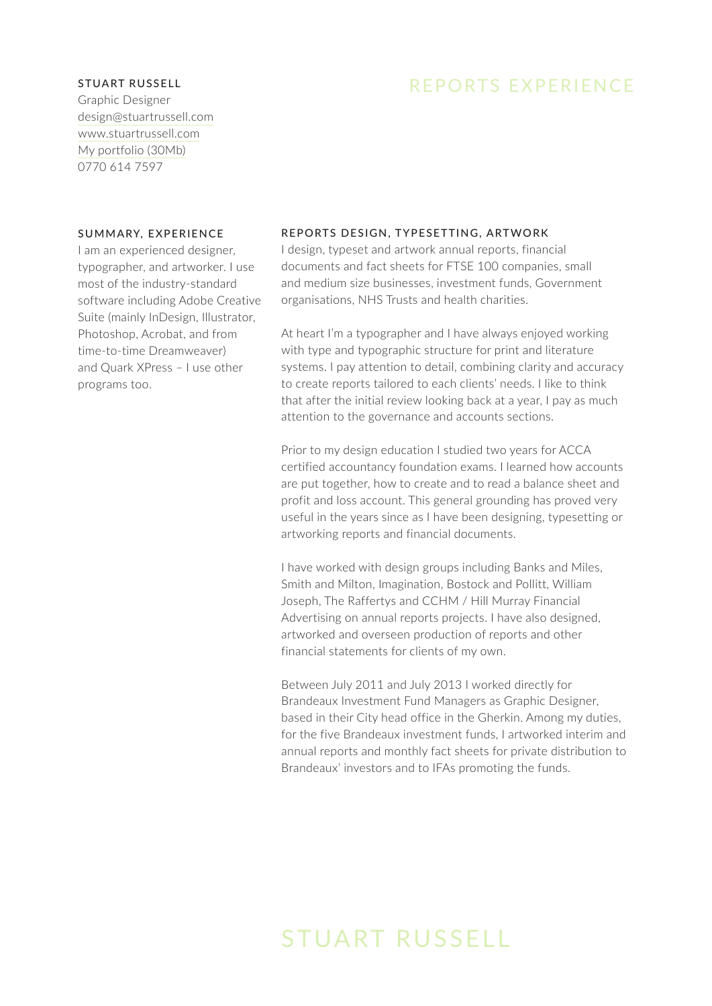## REPORTS EXPERIENCE

### STUART RUSSELL

Graphic Designer [design@stuartrussell.com](mailto:design@stuartrussell.com) [www.stuartrussell.com](http://www.stuartrussell.com) [My portfolio \(30Mb\)](https://stuartrussell2.files.wordpress.com/2017/02/stuart_russell_300dpi_portfolio_2017-02-28.pdf) 0770 614 7597

### SUMMARY, EXPERIENCE

I am an experienced designer, typographer, and artworker. I use most of the industry-standard software including Adobe Creative Suite (mainly InDesign, Illustrator, Photoshop, Acrobat, and from time-to-time Dreamweaver) and Quark XPress – I use other programs too.

### REPORTS DESIGN, TYPESETTING, ARTWORK

I design, typeset and artwork annual reports, financial documents and fact sheets for FTSE 100 companies, small and medium size businesses, investment funds, Government organisations, NHS Trusts and health charities.

At heart I'm a typographer and I have always enjoyed working with type and typographic structure for print and literature systems. I pay attention to detail, combining clarity and accuracy to create reports tailored to each clients' needs. I like to think that after the initial review looking back at a year, I pay as much attention to the governance and accounts sections.

Prior to my design education I studied two years for ACCA certified accountancy foundation exams. I learned how accounts are put together, how to create and to read a balance sheet and profit and loss account. This general grounding has proved very useful in the years since as I have been designing, typesetting or artworking reports and financial documents.

I have worked with design groups including Banks and Miles, Smith and Milton, Imagination, Bostock and Pollitt, William Joseph, The Raffertys and CCHM / Hill Murray Financial Advertising on annual reports projects. I have also designed, artworked and overseen production of reports and other financial statements for clients of my own.

Between July 2011 and July 2013 I worked directly for Brandeaux Investment Fund Managers as Graphic Designer, based in their City head office in the Gherkin. Among my duties, for the five Brandeaux investment funds, I artworked interim and annual reports and monthly fact sheets for private distribution to Brandeaux' investors and to IFAs promoting the funds.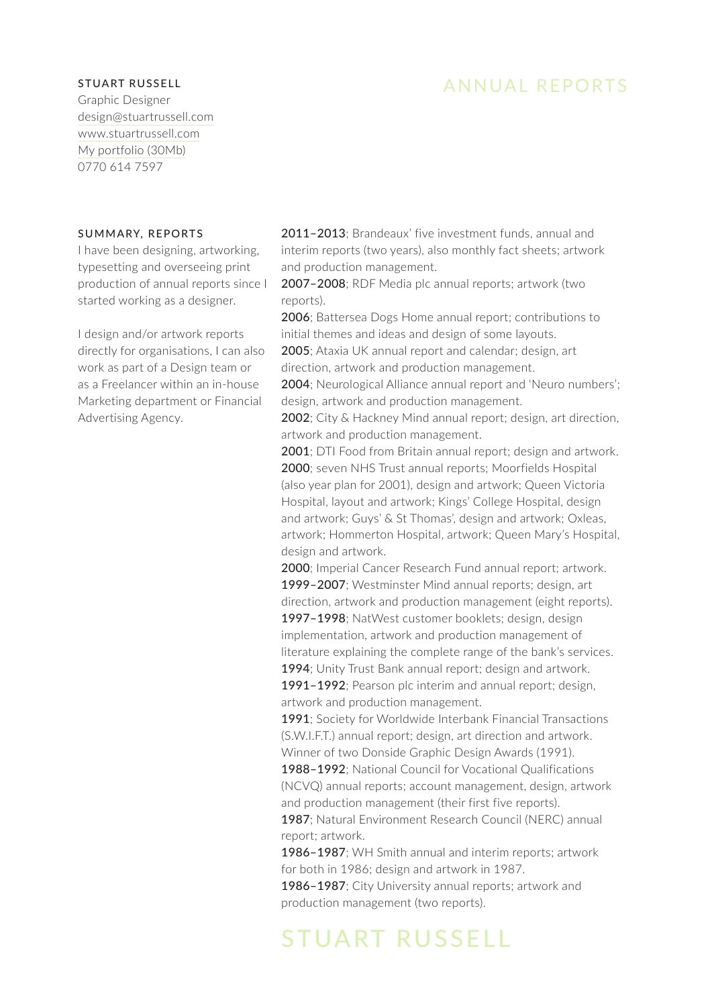## ANNUAL REPORTS

### STUART RUSSELL

Graphic Designer [design@stuartrussell.com](mailto:design@stuartrussell.com) [www.stuartrussell.com](http://www.stuartrussell.com) [My portfolio \(30Mb\)](https://stuartrussell2.files.wordpress.com/2017/02/stuart_russell_300dpi_portfolio_2017-02-28.pdf) 0770 614 7597

### SUMMARY, REPORTS

I have been designing, artworking, typesetting and overseeing print production of annual reports since I started working as a designer.

I design and/or artwork reports directly for organisations, I can also work as part of a Design team or as a Freelancer within an in-house Marketing department or Financial Advertising Agency.

2011–2013; Brandeaux' five investment funds, annual and interim reports (two years), also monthly fact sheets; artwork and production management.

2007–2008; RDF Media plc annual reports; artwork (two reports).

2006; Battersea Dogs Home annual report; contributions to initial themes and ideas and design of some layouts.

2005; Ataxia UK annual report and calendar; design, art direction, artwork and production management.

2004; Neurological Alliance annual report and 'Neuro numbers'; design, artwork and production management.

2002; City & Hackney Mind annual report; design, art direction, artwork and production management.

2001; DTI Food from Britain annual report; design and artwork. 2000; seven NHS Trust annual reports; Moorfields Hospital (also year plan for 2001), design and artwork; Queen Victoria Hospital, layout and artwork; Kings' College Hospital, design and artwork; Guys' & St Thomas', design and artwork; Oxleas, artwork; Hommerton Hospital, artwork; Queen Mary's Hospital, design and artwork.

2000; Imperial Cancer Research Fund annual report; artwork. 1999–2007; Westminster Mind annual reports; design, art direction, artwork and production management (eight reports). 1997–1998; NatWest customer booklets; design, design implementation, artwork and production management of literature explaining the complete range of the bank's services.

1994; Unity Trust Bank annual report; design and artwork. 1991–1992; Pearson plc interim and annual report; design, artwork and production management.

1991; Society for Worldwide Interbank Financial Transactions (S.W.I.F.T.) annual report; design, art direction and artwork. Winner of two Donside Graphic Design Awards (1991).

1988–1992; National Council for Vocational Qualifications (NCVQ) annual reports; account management, design, artwork and production management (their first five reports).

1987; Natural Environment Research Council (NERC) annual report; artwork.

1986–1987; WH Smith annual and interim reports; artwork for both in 1986; design and artwork in 1987.

1986–1987; City University annual reports; artwork and production management (two reports).